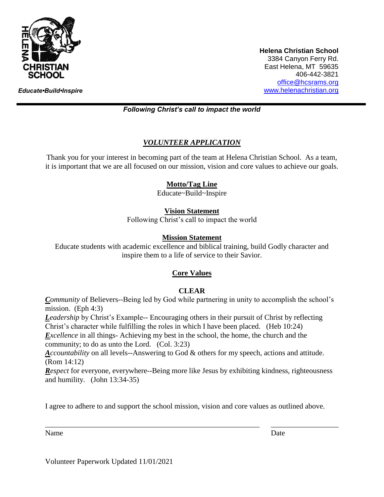

*Educate•Build•Inspire*

**Helena Christian School** 3384 Canyon Ferry Rd. East Helena, MT 59635 406-442-3821 [office@hcsrams.org](mailto:office@hcsrams.org) [www.helenachristian.org](http://www.helenachristian.org/)

## *Following Christ's call to impact the world*

# *VOLUNTEER APPLICATION*

Thank you for your interest in becoming part of the team at Helena Christian School. As a team, it is important that we are all focused on our mission, vision and core values to achieve our goals.

## **Motto/Tag Line**

Educate~Build~Inspire

## **Vision Statement**

Following Christ's call to impact the world

## **Mission Statement**

Educate students with academic excellence and biblical training, build Godly character and inspire them to a life of service to their Savior.

# **Core Values**

# **CLEAR**

*Community* of Believers--Being led by God while partnering in unity to accomplish the school's mission. (Eph 4:3)

*Leadership* by Christ's Example-- Encouraging others in their pursuit of Christ by reflecting Christ's character while fulfilling the roles in which I have been placed. (Heb 10:24)

*Excellence* in all things- Achieving my best in the school, the home, the church and the community; to do as unto the Lord. (Col. 3:23)

*Accountability* on all levels--Answering to God & others for my speech, actions and attitude. (Rom 14:12)

*Respect* for everyone, everywhere--Being more like Jesus by exhibiting kindness, righteousness and humility. (John 13:34-35)

I agree to adhere to and support the school mission, vision and core values as outlined above.

\_\_\_\_\_\_\_\_\_\_\_\_\_\_\_\_\_\_\_\_\_\_\_\_\_\_\_\_\_\_\_\_\_\_\_\_\_\_\_\_\_\_\_\_\_\_\_\_\_\_\_\_\_\_\_\_\_ \_\_\_\_\_\_\_\_\_\_\_\_\_\_\_\_\_\_

Name Date

Volunteer Paperwork Updated 11/01/2021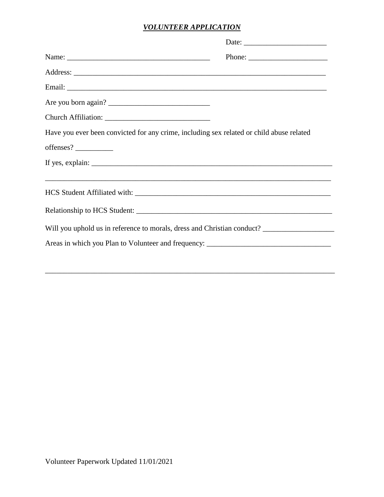# *VOLUNTEER APPLICATION*

|                                                                                          | Phone: $\frac{1}{\sqrt{1-\frac{1}{2}}\sqrt{1-\frac{1}{2}}\sqrt{1-\frac{1}{2}}\sqrt{1-\frac{1}{2}}\sqrt{1-\frac{1}{2}}\sqrt{1-\frac{1}{2}}\sqrt{1-\frac{1}{2}}\sqrt{1-\frac{1}{2}}\sqrt{1-\frac{1}{2}}\sqrt{1-\frac{1}{2}}\sqrt{1-\frac{1}{2}}\sqrt{1-\frac{1}{2}}\sqrt{1-\frac{1}{2}}\sqrt{1-\frac{1}{2}}\sqrt{1-\frac{1}{2}}\sqrt{1-\frac{1}{2}}\sqrt{1-\frac{1}{2}}\sqrt{1-\frac{1}{2}}\sqrt{1-\frac{1}{2$ |
|------------------------------------------------------------------------------------------|--------------------------------------------------------------------------------------------------------------------------------------------------------------------------------------------------------------------------------------------------------------------------------------------------------------------------------------------------------------------------------------------------------------|
|                                                                                          |                                                                                                                                                                                                                                                                                                                                                                                                              |
|                                                                                          |                                                                                                                                                                                                                                                                                                                                                                                                              |
| Are you born again?                                                                      |                                                                                                                                                                                                                                                                                                                                                                                                              |
|                                                                                          |                                                                                                                                                                                                                                                                                                                                                                                                              |
| Have you ever been convicted for any crime, including sex related or child abuse related |                                                                                                                                                                                                                                                                                                                                                                                                              |
|                                                                                          |                                                                                                                                                                                                                                                                                                                                                                                                              |
| If yes, explain: $\Box$                                                                  |                                                                                                                                                                                                                                                                                                                                                                                                              |
| ,我们也不能会在这里,我们的人们就会在这里,我们也不会在这里,我们也不会在这里,我们也不会在这里,我们也不会在这里,我们也不会在这里,我们也不会在这里,我们也不         |                                                                                                                                                                                                                                                                                                                                                                                                              |
|                                                                                          |                                                                                                                                                                                                                                                                                                                                                                                                              |
|                                                                                          |                                                                                                                                                                                                                                                                                                                                                                                                              |
| Will you uphold us in reference to morals, dress and Christian conduct?                  |                                                                                                                                                                                                                                                                                                                                                                                                              |
|                                                                                          |                                                                                                                                                                                                                                                                                                                                                                                                              |
|                                                                                          |                                                                                                                                                                                                                                                                                                                                                                                                              |

\_\_\_\_\_\_\_\_\_\_\_\_\_\_\_\_\_\_\_\_\_\_\_\_\_\_\_\_\_\_\_\_\_\_\_\_\_\_\_\_\_\_\_\_\_\_\_\_\_\_\_\_\_\_\_\_\_\_\_\_\_\_\_\_\_\_\_\_\_\_\_\_\_\_\_\_\_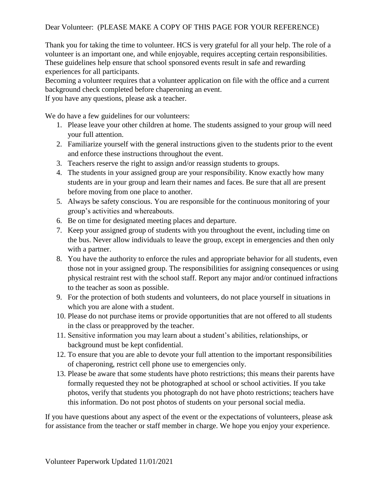# Dear Volunteer: (PLEASE MAKE A COPY OF THIS PAGE FOR YOUR REFERENCE)

Thank you for taking the time to volunteer. HCS is very grateful for all your help. The role of a volunteer is an important one, and while enjoyable, requires accepting certain responsibilities. These guidelines help ensure that school sponsored events result in safe and rewarding experiences for all participants.

Becoming a volunteer requires that a volunteer application on file with the office and a current background check completed before chaperoning an event.

If you have any questions, please ask a teacher.

We do have a few guidelines for our volunteers:

- 1. Please leave your other children at home. The students assigned to your group will need your full attention.
- 2. Familiarize yourself with the general instructions given to the students prior to the event and enforce these instructions throughout the event.
- 3. Teachers reserve the right to assign and/or reassign students to groups.
- 4. The students in your assigned group are your responsibility. Know exactly how many students are in your group and learn their names and faces. Be sure that all are present before moving from one place to another.
- 5. Always be safety conscious. You are responsible for the continuous monitoring of your group's activities and whereabouts.
- 6. Be on time for designated meeting places and departure.
- 7. Keep your assigned group of students with you throughout the event, including time on the bus. Never allow individuals to leave the group, except in emergencies and then only with a partner.
- 8. You have the authority to enforce the rules and appropriate behavior for all students, even those not in your assigned group. The responsibilities for assigning consequences or using physical restraint rest with the school staff. Report any major and/or continued infractions to the teacher as soon as possible.
- 9. For the protection of both students and volunteers, do not place yourself in situations in which you are alone with a student.
- 10. Please do not purchase items or provide opportunities that are not offered to all students in the class or preapproved by the teacher.
- 11. Sensitive information you may learn about a student's abilities, relationships, or background must be kept confidential.
- 12. To ensure that you are able to devote your full attention to the important responsibilities of chaperoning, restrict cell phone use to emergencies only.
- 13. Please be aware that some students have photo restrictions; this means their parents have formally requested they not be photographed at school or school activities. If you take photos, verify that students you photograph do not have photo restrictions; teachers have this information. Do not post photos of students on your personal social media.

If you have questions about any aspect of the event or the expectations of volunteers, please ask for assistance from the teacher or staff member in charge. We hope you enjoy your experience.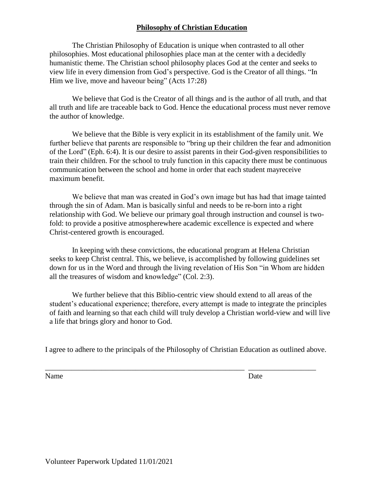# **Philosophy of Christian Education**

The Christian Philosophy of Education is unique when contrasted to all other philosophies. Most educational philosophies place man at the center with a decidedly humanistic theme. The Christian school philosophy places God at the center and seeks to view life in every dimension from God's perspective. God is the Creator of all things. "In Him we live, move and haveour being" (Acts 17:28)

We believe that God is the Creator of all things and is the author of all truth, and that all truth and life are traceable back to God. Hence the educational process must never remove the author of knowledge.

We believe that the Bible is very explicit in its establishment of the family unit. We further believe that parents are responsible to "bring up their children the fear and admonition of the Lord" (Eph. 6:4). It is our desire to assist parents in their God-given responsibilities to train their children. For the school to truly function in this capacity there must be continuous communication between the school and home in order that each student mayreceive maximum benefit.

We believe that man was created in God's own image but has had that image tainted through the sin of Adam. Man is basically sinful and needs to be re-born into a right relationship with God. We believe our primary goal through instruction and counsel is twofold: to provide a positive atmospherewhere academic excellence is expected and where Christ-centered growth is encouraged.

In keeping with these convictions, the educational program at Helena Christian seeks to keep Christ central. This, we believe, is accomplished by following guidelines set down for us in the Word and through the living revelation of His Son "in Whom are hidden all the treasures of wisdom and knowledge" (Col. 2:3).

We further believe that this Biblio-centric view should extend to all areas of the student's educational experience; therefore, every attempt is made to integrate the principles of faith and learning so that each child will truly develop a Christian world-view and will live a life that brings glory and honor to God.

I agree to adhere to the principals of the Philosophy of Christian Education as outlined above.

\_\_\_\_\_\_\_\_\_\_\_\_\_\_\_\_\_\_\_\_\_\_\_\_\_\_\_\_\_\_\_\_\_\_\_\_\_\_\_\_\_\_\_\_\_\_\_\_\_\_\_\_\_ \_\_\_\_\_\_\_\_\_\_\_\_\_\_\_\_\_\_

Name Date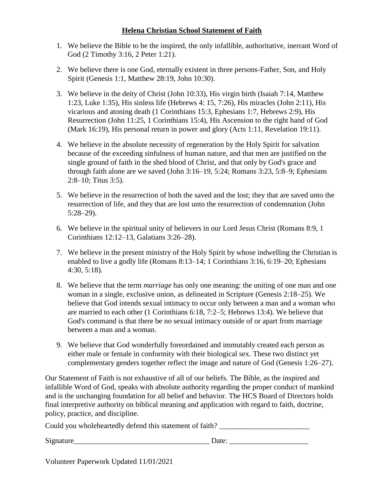# **Helena Christian School Statement of Faith**

- 1. We believe the Bible to be the inspired, the only infallible, authoritative, inerrant Word of God (2 Timothy 3:16, 2 Peter 1:21).
- 2. We believe there is one God, eternally existent in three persons-Father, Son, and Holy Spirit (Genesis 1:1, Matthew 28:19, John 10:30).
- 3. We believe in the deity of Christ (John 10:33), His virgin birth (Isaiah 7:14, Matthew 1:23, Luke 1:35), His sinless life (Hebrews 4: 15, 7:26), His miracles (John 2:11), His vicarious and atoning death (1 Corinthians 15:3, Ephesians 1:7, Hebrews 2:9), His Resurrection (John 11:25, 1 Corinthians 15:4), His Ascension to the right hand of God (Mark 16:19), His personal return in power and glory (Acts 1:11, Revelation 19:11).
- 4. We believe in the absolute necessity of regeneration by the Holy Spirit for salvation because of the exceeding sinfulness of human nature, and that men are justified on the single ground of faith in the shed blood of Christ, and that only by God's grace and through faith alone are we saved (John 3:16–19, 5:24; Romans 3:23, 5:8–9; Ephesians 2:8–10; Titus 3:5).
- 5. We believe in the resurrection of both the saved and the lost; they that are saved unto the resurrection of life, and they that are lost unto the resurrection of condemnation (John 5:28–29).
- 6. We believe in the spiritual unity of believers in our Lord Jesus Christ (Romans 8:9, 1 Corinthians 12:12–13, Galatians 3:26–28).
- 7. We believe in the present ministry of the Holy Spirit by whose indwelling the Christian is enabled to live a godly life (Romans 8:13–14; 1 Corinthians 3:16, 6:19–20; Ephesians 4:30, 5:18).
- 8. We believe that the term *marriage* has only one meaning: the uniting of one man and one woman in a single, exclusive union, as delineated in Scripture (Genesis 2:18–25). We believe that God intends sexual intimacy to occur only between a man and a woman who are married to each other (1 Corinthians 6:18, 7:2–5; Hebrews 13:4). We believe that God's command is that there be no sexual intimacy outside of or apart from marriage between a man and a woman.
- 9. We believe that God wonderfully foreordained and immutably created each person as either male or female in conformity with their biological sex. These two distinct yet complementary genders together reflect the image and nature of God (Genesis 1:26–27).

Our Statement of Faith is not exhaustive of all of our beliefs. The Bible, as the inspired and infallible Word of God, speaks with absolute authority regarding the proper conduct of mankind and is the unchanging foundation for all belief and behavior. The HCS Board of Directors holds final interpretive authority on biblical meaning and application with regard to faith, doctrine, policy, practice, and discipline.

Could you wholeheartedly defend this statement of faith? \_\_\_\_\_\_\_\_\_\_\_\_\_\_\_\_\_\_\_\_\_\_\_\_

Signature\_\_\_\_\_\_\_\_\_\_\_\_\_\_\_\_\_\_\_\_\_\_\_\_\_\_\_\_\_\_\_\_\_\_\_\_ Date: \_\_\_\_\_\_\_\_\_\_\_\_\_\_\_\_\_\_\_\_\_

Volunteer Paperwork Updated 11/01/2021